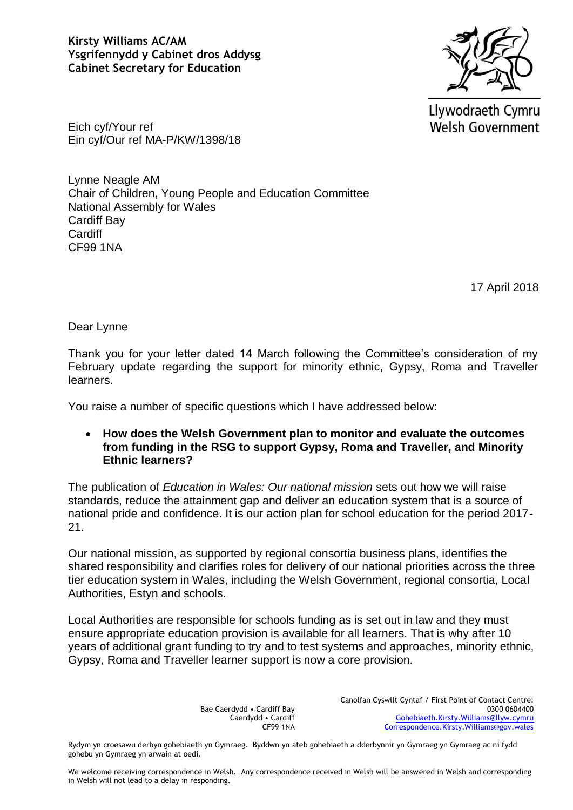

Llywodraeth Cymru **Welsh Government** 

Eich cyf/Your ref Ein cyf/Our ref MA-P/KW/1398/18

Lynne Neagle AM Chair of Children, Young People and Education Committee National Assembly for Wales Cardiff Bay **Cardiff** CF99 1NA

17 April 2018

Dear Lynne

Thank you for your letter dated 14 March following the Committee's consideration of my February update regarding the support for minority ethnic, Gypsy, Roma and Traveller learners.

You raise a number of specific questions which I have addressed below:

 **How does the Welsh Government plan to monitor and evaluate the outcomes from funding in the RSG to support Gypsy, Roma and Traveller, and Minority Ethnic learners?**

The publication of *Education in Wales: Our national mission* sets out how we will raise standards, reduce the attainment gap and deliver an education system that is a source of national pride and confidence. It is our action plan for school education for the period 2017- 21.

Our national mission, as supported by regional consortia business plans, identifies the shared responsibility and clarifies roles for delivery of our national priorities across the three tier education system in Wales, including the Welsh Government, regional consortia, Local Authorities, Estyn and schools.

Local Authorities are responsible for schools funding as is set out in law and they must ensure appropriate education provision is available for all learners. That is why after 10 years of additional grant funding to try and to test systems and approaches, minority ethnic, Gypsy, Roma and Traveller learner support is now a core provision.

> Bae Caerdydd • Cardiff Bay Caerdydd • Cardiff CF99 1NA

Canolfan Cyswllt Cyntaf / First Point of Contact Centre: 0300 0604400 [Gohebiaeth.Kirsty.Williams@llyw.cymru](mailto:Gohebiaeth.Kirsty.Williams@llyw.cymru)  [Correspondence.Kirsty.Williams@gov.wales](mailto:Correspondence.Kirsty.Williams@gov.wales)

We welcome receiving correspondence in Welsh. Any correspondence received in Welsh will be answered in Welsh and corresponding in Welsh will not lead to a delay in responding.

Rydym yn croesawu derbyn gohebiaeth yn Gymraeg. Byddwn yn ateb gohebiaeth a dderbynnir yn Gymraeg yn Gymraeg ac ni fydd gohebu yn Gymraeg yn arwain at oedi.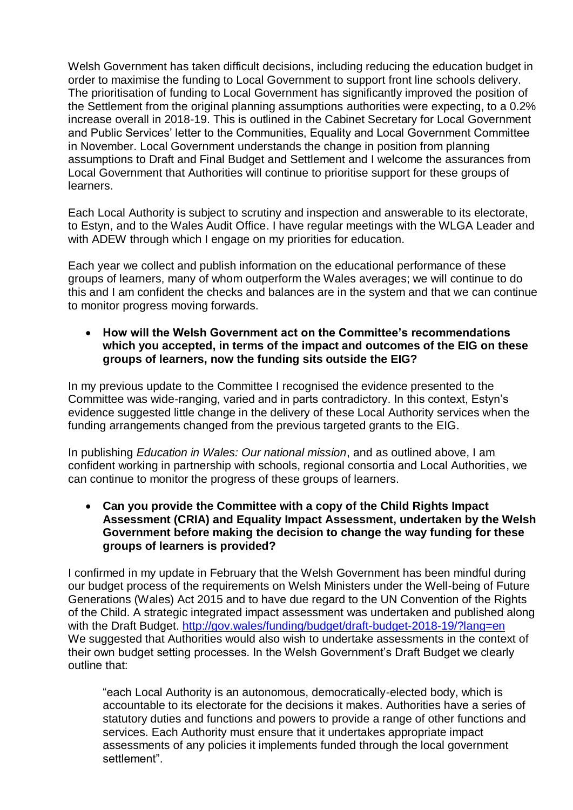Welsh Government has taken difficult decisions, including reducing the education budget in order to maximise the funding to Local Government to support front line schools delivery. The prioritisation of funding to Local Government has significantly improved the position of the Settlement from the original planning assumptions authorities were expecting, to a 0.2% increase overall in 2018-19. This is outlined in the Cabinet Secretary for Local Government and Public Services' letter to the Communities, Equality and Local Government Committee in November. Local Government understands the change in position from planning assumptions to Draft and Final Budget and Settlement and I welcome the assurances from Local Government that Authorities will continue to prioritise support for these groups of learners.

Each Local Authority is subject to scrutiny and inspection and answerable to its electorate, to Estyn, and to the Wales Audit Office. I have regular meetings with the WLGA Leader and with ADEW through which I engage on my priorities for education.

Each year we collect and publish information on the educational performance of these groups of learners, many of whom outperform the Wales averages; we will continue to do this and I am confident the checks and balances are in the system and that we can continue to monitor progress moving forwards.

 **How will the Welsh Government act on the Committee's recommendations which you accepted, in terms of the impact and outcomes of the EIG on these groups of learners, now the funding sits outside the EIG?**

In my previous update to the Committee I recognised the evidence presented to the Committee was wide-ranging, varied and in parts contradictory. In this context, Estyn's evidence suggested little change in the delivery of these Local Authority services when the funding arrangements changed from the previous targeted grants to the EIG.

In publishing *Education in Wales: Our national mission*, and as outlined above, I am confident working in partnership with schools, regional consortia and Local Authorities, we can continue to monitor the progress of these groups of learners.

 **Can you provide the Committee with a copy of the Child Rights Impact Assessment (CRIA) and Equality Impact Assessment, undertaken by the Welsh Government before making the decision to change the way funding for these groups of learners is provided?**

I confirmed in my update in February that the Welsh Government has been mindful during our budget process of the requirements on Welsh Ministers under the Well-being of Future Generations (Wales) Act 2015 and to have due regard to the UN Convention of the Rights of the Child. A strategic integrated impact assessment was undertaken and published along with the Draft Budget.<http://gov.wales/funding/budget/draft-budget-2018-19/?lang=en> We suggested that Authorities would also wish to undertake assessments in the context of their own budget setting processes. In the Welsh Government's Draft Budget we clearly outline that:

"each Local Authority is an autonomous, democratically-elected body, which is accountable to its electorate for the decisions it makes. Authorities have a series of statutory duties and functions and powers to provide a range of other functions and services. Each Authority must ensure that it undertakes appropriate impact assessments of any policies it implements funded through the local government settlement".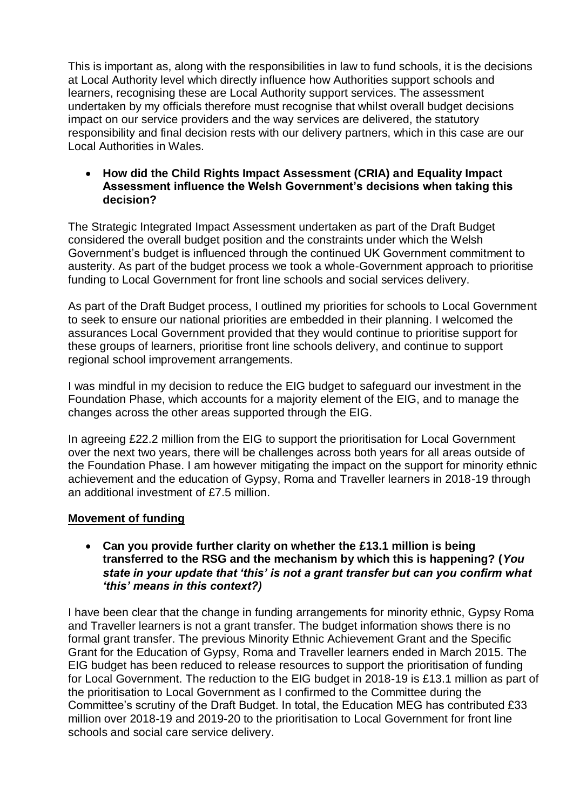This is important as, along with the responsibilities in law to fund schools, it is the decisions at Local Authority level which directly influence how Authorities support schools and learners, recognising these are Local Authority support services. The assessment undertaken by my officials therefore must recognise that whilst overall budget decisions impact on our service providers and the way services are delivered, the statutory responsibility and final decision rests with our delivery partners, which in this case are our Local Authorities in Wales.

 **How did the Child Rights Impact Assessment (CRIA) and Equality Impact Assessment influence the Welsh Government's decisions when taking this decision?**

The Strategic Integrated Impact Assessment undertaken as part of the Draft Budget considered the overall budget position and the constraints under which the Welsh Government's budget is influenced through the continued UK Government commitment to austerity. As part of the budget process we took a whole-Government approach to prioritise funding to Local Government for front line schools and social services delivery.

As part of the Draft Budget process, I outlined my priorities for schools to Local Government to seek to ensure our national priorities are embedded in their planning. I welcomed the assurances Local Government provided that they would continue to prioritise support for these groups of learners, prioritise front line schools delivery, and continue to support regional school improvement arrangements.

I was mindful in my decision to reduce the EIG budget to safeguard our investment in the Foundation Phase, which accounts for a majority element of the EIG, and to manage the changes across the other areas supported through the EIG.

In agreeing £22.2 million from the EIG to support the prioritisation for Local Government over the next two years, there will be challenges across both years for all areas outside of the Foundation Phase. I am however mitigating the impact on the support for minority ethnic achievement and the education of Gypsy, Roma and Traveller learners in 2018-19 through an additional investment of £7.5 million.

## **Movement of funding**

## **Can you provide further clarity on whether the £13.1 million is being transferred to the RSG and the mechanism by which this is happening? (***You state in your update that 'this' is not a grant transfer but can you confirm what 'this' means in this context?)*

I have been clear that the change in funding arrangements for minority ethnic, Gypsy Roma and Traveller learners is not a grant transfer. The budget information shows there is no formal grant transfer. The previous Minority Ethnic Achievement Grant and the Specific Grant for the Education of Gypsy, Roma and Traveller learners ended in March 2015. The EIG budget has been reduced to release resources to support the prioritisation of funding for Local Government. The reduction to the EIG budget in 2018-19 is £13.1 million as part of the prioritisation to Local Government as I confirmed to the Committee during the Committee's scrutiny of the Draft Budget. In total, the Education MEG has contributed £33 million over 2018-19 and 2019-20 to the prioritisation to Local Government for front line schools and social care service delivery.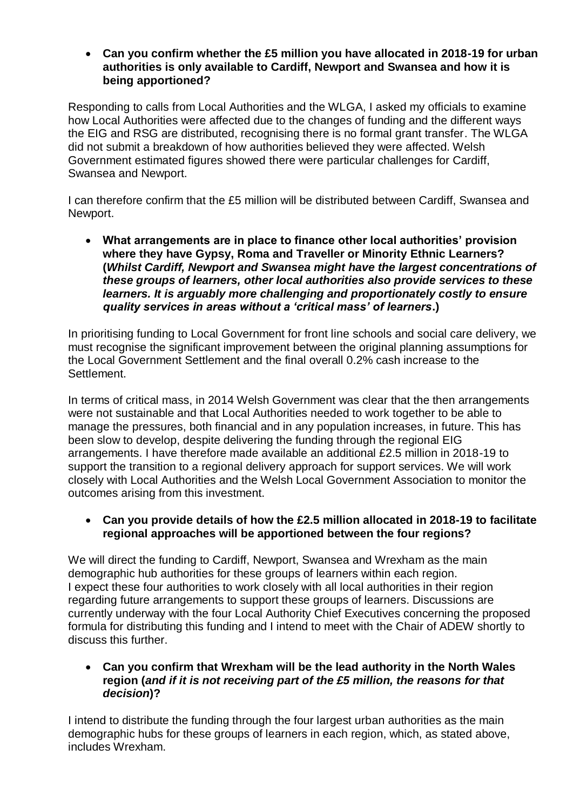**Can you confirm whether the £5 million you have allocated in 2018-19 for urban authorities is only available to Cardiff, Newport and Swansea and how it is being apportioned?**

Responding to calls from Local Authorities and the WLGA, I asked my officials to examine how Local Authorities were affected due to the changes of funding and the different ways the EIG and RSG are distributed, recognising there is no formal grant transfer. The WLGA did not submit a breakdown of how authorities believed they were affected. Welsh Government estimated figures showed there were particular challenges for Cardiff, Swansea and Newport.

I can therefore confirm that the £5 million will be distributed between Cardiff, Swansea and Newport.

 **What arrangements are in place to finance other local authorities' provision where they have Gypsy, Roma and Traveller or Minority Ethnic Learners? (***Whilst Cardiff, Newport and Swansea might have the largest concentrations of these groups of learners, other local authorities also provide services to these learners. It is arguably more challenging and proportionately costly to ensure quality services in areas without a 'critical mass' of learners***.)**

In prioritising funding to Local Government for front line schools and social care delivery, we must recognise the significant improvement between the original planning assumptions for the Local Government Settlement and the final overall 0.2% cash increase to the Settlement.

In terms of critical mass, in 2014 Welsh Government was clear that the then arrangements were not sustainable and that Local Authorities needed to work together to be able to manage the pressures, both financial and in any population increases, in future. This has been slow to develop, despite delivering the funding through the regional EIG arrangements. I have therefore made available an additional £2.5 million in 2018-19 to support the transition to a regional delivery approach for support services. We will work closely with Local Authorities and the Welsh Local Government Association to monitor the outcomes arising from this investment.

## **Can you provide details of how the £2.5 million allocated in 2018-19 to facilitate regional approaches will be apportioned between the four regions?**

We will direct the funding to Cardiff, Newport, Swansea and Wrexham as the main demographic hub authorities for these groups of learners within each region. I expect these four authorities to work closely with all local authorities in their region regarding future arrangements to support these groups of learners. Discussions are currently underway with the four Local Authority Chief Executives concerning the proposed formula for distributing this funding and I intend to meet with the Chair of ADEW shortly to discuss this further.

## **Can you confirm that Wrexham will be the lead authority in the North Wales region (***and if it is not receiving part of the £5 million, the reasons for that decision***)?**

I intend to distribute the funding through the four largest urban authorities as the main demographic hubs for these groups of learners in each region, which, as stated above, includes Wrexham.